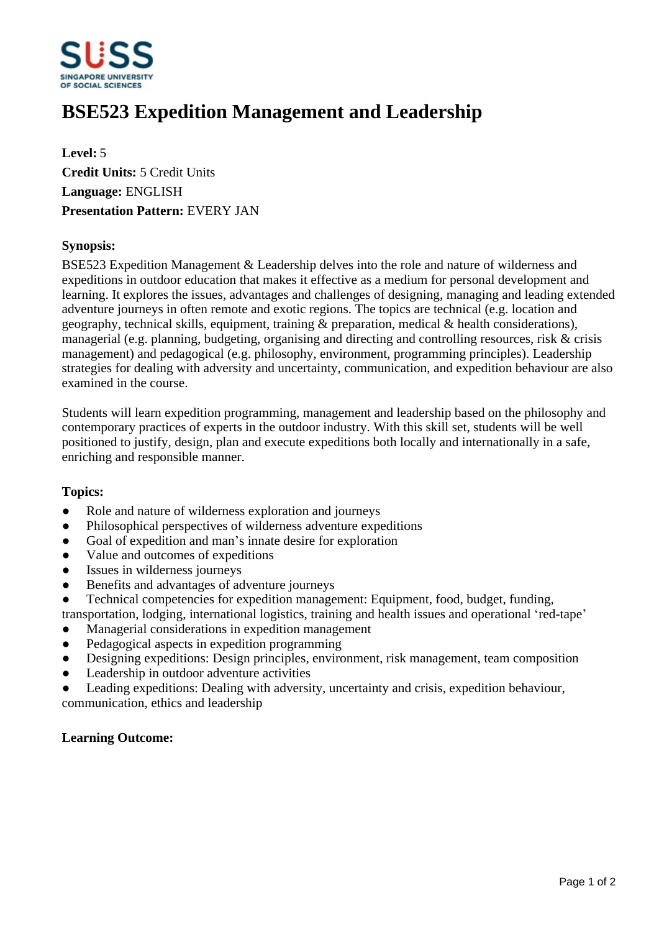

# **BSE523 Expedition Management and Leadership**

**Level:** 5 **Credit Units:** 5 Credit Units **Language:** ENGLISH **Presentation Pattern:** EVERY JAN

### **Synopsis:**

BSE523 Expedition Management & Leadership delves into the role and nature of wilderness and expeditions in outdoor education that makes it effective as a medium for personal development and learning. It explores the issues, advantages and challenges of designing, managing and leading extended adventure journeys in often remote and exotic regions. The topics are technical (e.g. location and geography, technical skills, equipment, training & preparation, medical & health considerations), managerial (e.g. planning, budgeting, organising and directing and controlling resources, risk & crisis management) and pedagogical (e.g. philosophy, environment, programming principles). Leadership strategies for dealing with adversity and uncertainty, communication, and expedition behaviour are also examined in the course.

Students will learn expedition programming, management and leadership based on the philosophy and contemporary practices of experts in the outdoor industry. With this skill set, students will be well positioned to justify, design, plan and execute expeditions both locally and internationally in a safe, enriching and responsible manner.

#### **Topics:**

- Role and nature of wilderness exploration and journeys
- Philosophical perspectives of wilderness adventure expeditions
- Goal of expedition and man's innate desire for exploration
- Value and outcomes of expeditions
- Issues in wilderness journeys
- ƔBenefits and advantages of adventure journeys
- ƔTechnical competencies for expedition management: Equipment, food, budget, funding,
- transportation, lodging, international logistics, training and health issues and operational 'red-tape'
- Managerial considerations in expedition management
- Pedagogical aspects in expedition programming
- Designing expeditions: Design principles, environment, risk management, team composition
- Leadership in outdoor adventure activities
- Leading expeditions: Dealing with adversity, uncertainty and crisis, expedition behaviour, communication, ethics and leadership

## **Learning Outcome:**